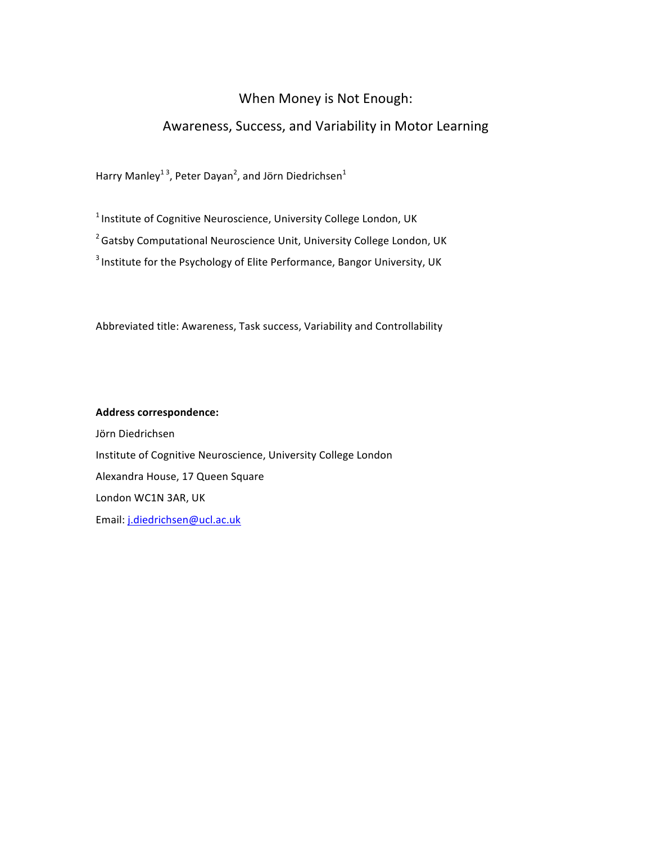# When Money is Not Enough:

# Awareness, Success, and Variability in Motor Learning

Harry Manley<sup>13</sup>, Peter Dayan<sup>2</sup>, and Jörn Diedrichsen<sup>1</sup>

<sup>1</sup> Institute of Cognitive Neuroscience, University College London, UK <sup>2</sup> Gatsby Computational Neuroscience Unit, University College London, UK  $3$  Institute for the Psychology of Elite Performance, Bangor University, UK

Abbreviated title: Awareness, Task success, Variability and Controllability

**Address correspondence:** Jörn Diedrichsen Institute of Cognitive Neuroscience, University College London Alexandra House, 17 Queen Square London WC1N 3AR, UK Email: j.diedrichsen@ucl.ac.uk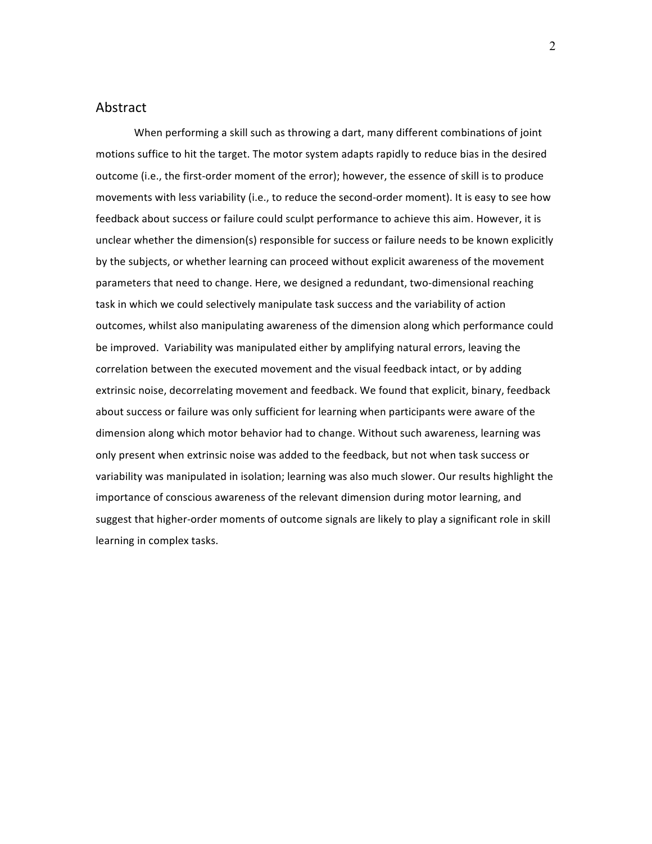## Abstract

When performing a skill such as throwing a dart, many different combinations of joint motions suffice to hit the target. The motor system adapts rapidly to reduce bias in the desired outcome (i.e., the first-order moment of the error); however, the essence of skill is to produce movements with less variability (i.e., to reduce the second-order moment). It is easy to see how feedback about success or failure could sculpt performance to achieve this aim. However, it is unclear whether the dimension(s) responsible for success or failure needs to be known explicitly by the subjects, or whether learning can proceed without explicit awareness of the movement parameters that need to change. Here, we designed a redundant, two-dimensional reaching task in which we could selectively manipulate task success and the variability of action outcomes, whilst also manipulating awareness of the dimension along which performance could be improved. Variability was manipulated either by amplifying natural errors, leaving the correlation between the executed movement and the visual feedback intact, or by adding extrinsic noise, decorrelating movement and feedback. We found that explicit, binary, feedback about success or failure was only sufficient for learning when participants were aware of the dimension along which motor behavior had to change. Without such awareness, learning was only present when extrinsic noise was added to the feedback, but not when task success or variability was manipulated in isolation; learning was also much slower. Our results highlight the importance of conscious awareness of the relevant dimension during motor learning, and suggest that higher-order moments of outcome signals are likely to play a significant role in skill learning in complex tasks.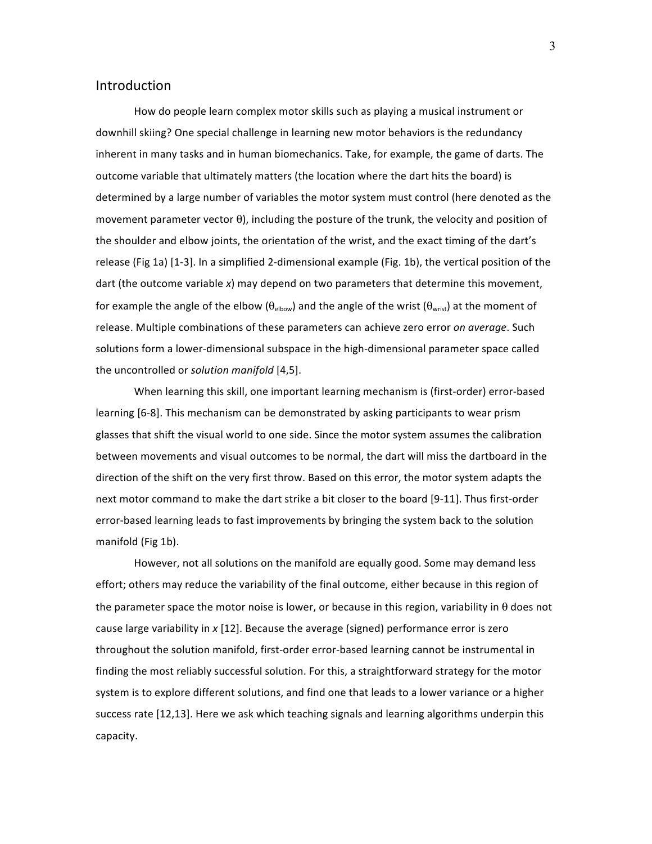# Introduction

How do people learn complex motor skills such as playing a musical instrument or downhill skiing? One special challenge in learning new motor behaviors is the redundancy inherent in many tasks and in human biomechanics. Take, for example, the game of darts. The outcome variable that ultimately matters (the location where the dart hits the board) is determined by a large number of variables the motor system must control (here denoted as the movement parameter vector  $\theta$ ), including the posture of the trunk, the velocity and position of the shoulder and elbow joints, the orientation of the wrist, and the exact timing of the dart's release (Fig 1a) [1-3]. In a simplified 2-dimensional example (Fig. 1b), the vertical position of the dart (the outcome variable x) may depend on two parameters that determine this movement, for example the angle of the elbow  $(\theta_{\text{elbow}})$  and the angle of the wrist  $(\theta_{\text{wrist}})$  at the moment of release. Multiple combinations of these parameters can achieve zero error *on average*. Such solutions form a lower-dimensional subspace in the high-dimensional parameter space called the uncontrolled or *solution manifold* [4,5].

When learning this skill, one important learning mechanism is (first-order) error-based learning [6-8]. This mechanism can be demonstrated by asking participants to wear prism glasses that shift the visual world to one side. Since the motor system assumes the calibration between movements and visual outcomes to be normal, the dart will miss the dartboard in the direction of the shift on the very first throw. Based on this error, the motor system adapts the next motor command to make the dart strike a bit closer to the board [9-11]. Thus first-order error-based learning leads to fast improvements by bringing the system back to the solution manifold (Fig 1b).

However, not all solutions on the manifold are equally good. Some may demand less effort; others may reduce the variability of the final outcome, either because in this region of the parameter space the motor noise is lower, or because in this region, variability in  $\theta$  does not cause large variability in x [12]. Because the average (signed) performance error is zero throughout the solution manifold, first-order error-based learning cannot be instrumental in finding the most reliably successful solution. For this, a straightforward strategy for the motor system is to explore different solutions, and find one that leads to a lower variance or a higher success rate [12,13]. Here we ask which teaching signals and learning algorithms underpin this capacity.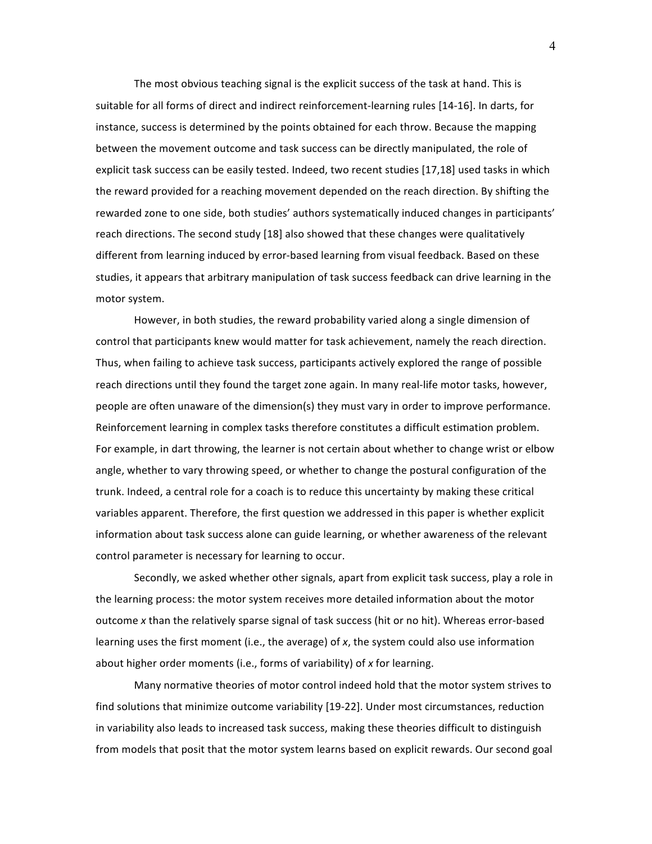The most obvious teaching signal is the explicit success of the task at hand. This is suitable for all forms of direct and indirect reinforcement-learning rules [14-16]. In darts, for instance, success is determined by the points obtained for each throw. Because the mapping between the movement outcome and task success can be directly manipulated, the role of explicit task success can be easily tested. Indeed, two recent studies [17,18] used tasks in which the reward provided for a reaching movement depended on the reach direction. By shifting the rewarded zone to one side, both studies' authors systematically induced changes in participants' reach directions. The second study [18] also showed that these changes were qualitatively different from learning induced by error-based learning from visual feedback. Based on these studies, it appears that arbitrary manipulation of task success feedback can drive learning in the motor system.

However, in both studies, the reward probability varied along a single dimension of control that participants knew would matter for task achievement, namely the reach direction. Thus, when failing to achieve task success, participants actively explored the range of possible reach directions until they found the target zone again. In many real-life motor tasks, however, people are often unaware of the dimension(s) they must vary in order to improve performance. Reinforcement learning in complex tasks therefore constitutes a difficult estimation problem. For example, in dart throwing, the learner is not certain about whether to change wrist or elbow angle, whether to vary throwing speed, or whether to change the postural configuration of the trunk. Indeed, a central role for a coach is to reduce this uncertainty by making these critical variables apparent. Therefore, the first question we addressed in this paper is whether explicit information about task success alone can guide learning, or whether awareness of the relevant control parameter is necessary for learning to occur.

Secondly, we asked whether other signals, apart from explicit task success, play a role in the learning process: the motor system receives more detailed information about the motor outcome x than the relatively sparse signal of task success (hit or no hit). Whereas error-based learning uses the first moment (i.e., the average) of x, the system could also use information about higher order moments (i.e., forms of variability) of x for learning.

Many normative theories of motor control indeed hold that the motor system strives to find solutions that minimize outcome variability [19-22]. Under most circumstances, reduction in variability also leads to increased task success, making these theories difficult to distinguish from models that posit that the motor system learns based on explicit rewards. Our second goal

4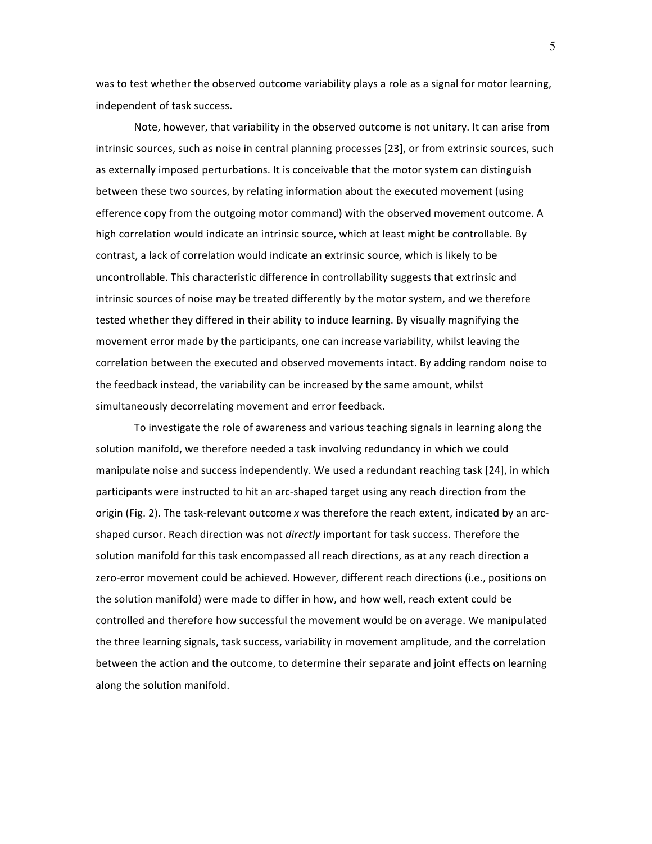was to test whether the observed outcome variability plays a role as a signal for motor learning, independent of task success.

Note, however, that variability in the observed outcome is not unitary. It can arise from intrinsic sources, such as noise in central planning processes [23], or from extrinsic sources, such as externally imposed perturbations. It is conceivable that the motor system can distinguish between these two sources, by relating information about the executed movement (using efference copy from the outgoing motor command) with the observed movement outcome. A high correlation would indicate an intrinsic source, which at least might be controllable. By contrast, a lack of correlation would indicate an extrinsic source, which is likely to be uncontrollable. This characteristic difference in controllability suggests that extrinsic and intrinsic sources of noise may be treated differently by the motor system, and we therefore tested whether they differed in their ability to induce learning. By visually magnifying the movement error made by the participants, one can increase variability, whilst leaving the correlation between the executed and observed movements intact. By adding random noise to the feedback instead, the variability can be increased by the same amount, whilst simultaneously decorrelating movement and error feedback.

To investigate the role of awareness and various teaching signals in learning along the solution manifold, we therefore needed a task involving redundancy in which we could manipulate noise and success independently. We used a redundant reaching task [24], in which participants were instructed to hit an arc-shaped target using any reach direction from the origin (Fig. 2). The task-relevant outcome x was therefore the reach extent, indicated by an arcshaped cursor. Reach direction was not *directly* important for task success. Therefore the solution manifold for this task encompassed all reach directions, as at any reach direction a zero-error movement could be achieved. However, different reach directions (i.e., positions on the solution manifold) were made to differ in how, and how well, reach extent could be controlled and therefore how successful the movement would be on average. We manipulated the three learning signals, task success, variability in movement amplitude, and the correlation between the action and the outcome, to determine their separate and joint effects on learning along the solution manifold.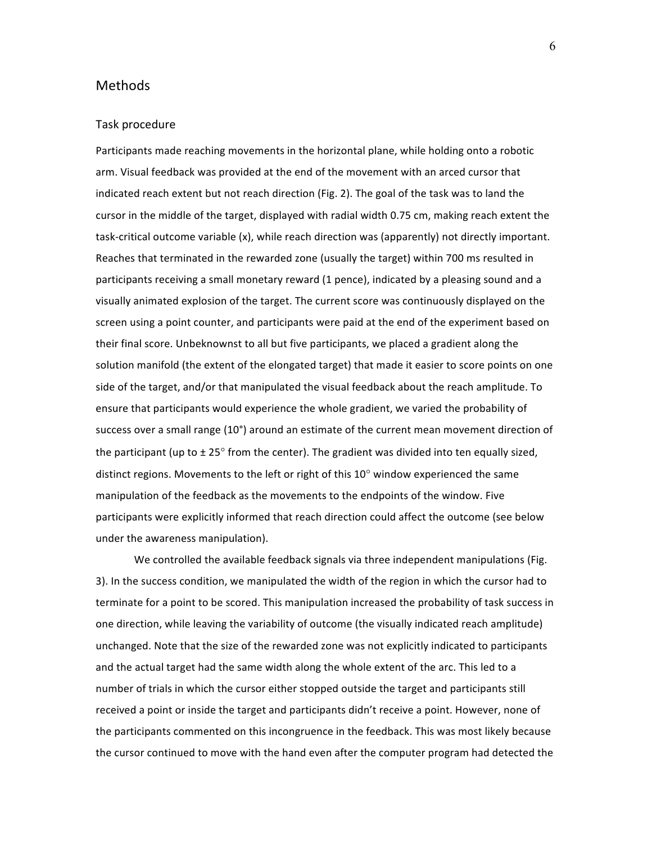## Methods

#### Task procedure

Participants made reaching movements in the horizontal plane, while holding onto a robotic arm. Visual feedback was provided at the end of the movement with an arced cursor that indicated reach extent but not reach direction (Fig. 2). The goal of the task was to land the cursor in the middle of the target, displayed with radial width 0.75 cm, making reach extent the task-critical outcome variable (x), while reach direction was (apparently) not directly important. Reaches that terminated in the rewarded zone (usually the target) within 700 ms resulted in participants receiving a small monetary reward (1 pence), indicated by a pleasing sound and a visually animated explosion of the target. The current score was continuously displayed on the screen using a point counter, and participants were paid at the end of the experiment based on their final score. Unbeknownst to all but five participants, we placed a gradient along the solution manifold (the extent of the elongated target) that made it easier to score points on one side of the target, and/or that manipulated the visual feedback about the reach amplitude. To ensure that participants would experience the whole gradient, we varied the probability of success over a small range (10°) around an estimate of the current mean movement direction of the participant (up to  $\pm 25^{\circ}$  from the center). The gradient was divided into ten equally sized, distinct regions. Movements to the left or right of this  $10^{\circ}$  window experienced the same manipulation of the feedback as the movements to the endpoints of the window. Five participants were explicitly informed that reach direction could affect the outcome (see below under the awareness manipulation).

We controlled the available feedback signals via three independent manipulations (Fig. 3). In the success condition, we manipulated the width of the region in which the cursor had to terminate for a point to be scored. This manipulation increased the probability of task success in one direction, while leaving the variability of outcome (the visually indicated reach amplitude) unchanged. Note that the size of the rewarded zone was not explicitly indicated to participants and the actual target had the same width along the whole extent of the arc. This led to a number of trials in which the cursor either stopped outside the target and participants still received a point or inside the target and participants didn't receive a point. However, none of the participants commented on this incongruence in the feedback. This was most likely because the cursor continued to move with the hand even after the computer program had detected the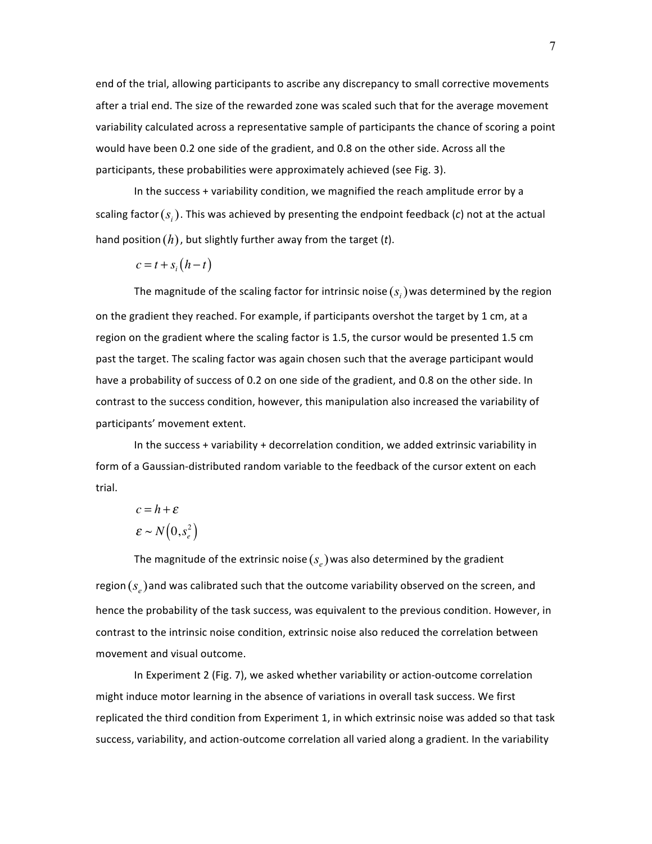end of the trial, allowing participants to ascribe any discrepancy to small corrective movements after a trial end. The size of the rewarded zone was scaled such that for the average movement variability calculated across a representative sample of participants the chance of scoring a point would have been 0.2 one side of the gradient, and 0.8 on the other side. Across all the participants, these probabilities were approximately achieved (see Fig. 3).

In the success + variability condition, we magnified the reach amplitude error by a scaling factor( $s_i$ ). This was achieved by presenting the endpoint feedback (*c*) not at the actual hand position  $(h)$ , but slightly further away from the target  $(t)$ .

$$
c = t + s_i(h - t)
$$

The magnitude of the scaling factor for intrinsic noise  $(s_i)$  was determined by the region on the gradient they reached. For example, if participants overshot the target by 1 cm, at a region on the gradient where the scaling factor is 1.5, the cursor would be presented 1.5 cm past the target. The scaling factor was again chosen such that the average participant would have a probability of success of 0.2 on one side of the gradient, and 0.8 on the other side. In contrast to the success condition, however, this manipulation also increased the variability of participants' movement extent.

In the success + variability + decorrelation condition, we added extrinsic variability in form of a Gaussian-distributed random variable to the feedback of the cursor extent on each trial. 

$$
c = h + \varepsilon
$$

$$
\varepsilon \sim N(0, s_e^2)
$$

The magnitude of the extrinsic noise  $(s_e)$  was also determined by the gradient region  $(s_n)$  and was calibrated such that the outcome variability observed on the screen, and hence the probability of the task success, was equivalent to the previous condition. However, in contrast to the intrinsic noise condition, extrinsic noise also reduced the correlation between movement and visual outcome.

In Experiment 2 (Fig. 7), we asked whether variability or action-outcome correlation might induce motor learning in the absence of variations in overall task success. We first replicated the third condition from Experiment 1, in which extrinsic noise was added so that task success, variability, and action-outcome correlation all varied along a gradient. In the variability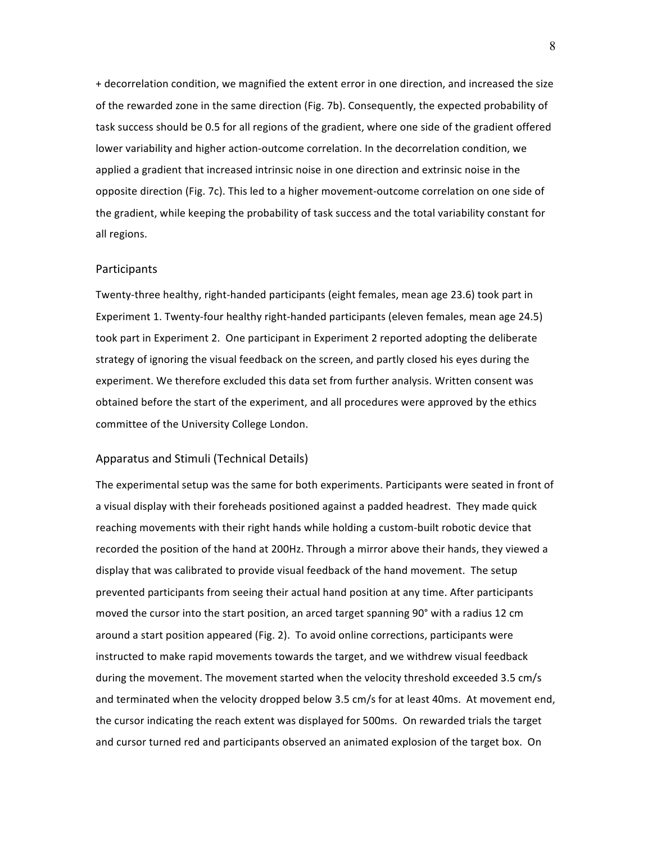+ decorrelation condition, we magnified the extent error in one direction, and increased the size of the rewarded zone in the same direction (Fig. 7b). Consequently, the expected probability of task success should be 0.5 for all regions of the gradient, where one side of the gradient offered lower variability and higher action-outcome correlation. In the decorrelation condition, we applied a gradient that increased intrinsic noise in one direction and extrinsic noise in the opposite direction (Fig. 7c). This led to a higher movement-outcome correlation on one side of the gradient, while keeping the probability of task success and the total variability constant for all regions.

#### Participants

Twenty-three healthy, right-handed participants (eight females, mean age 23.6) took part in Experiment 1. Twenty-four healthy right-handed participants (eleven females, mean age 24.5) took part in Experiment 2. One participant in Experiment 2 reported adopting the deliberate strategy of ignoring the visual feedback on the screen, and partly closed his eyes during the experiment. We therefore excluded this data set from further analysis. Written consent was obtained before the start of the experiment, and all procedures were approved by the ethics committee of the University College London.

#### Apparatus and Stimuli (Technical Details)

The experimental setup was the same for both experiments. Participants were seated in front of a visual display with their foreheads positioned against a padded headrest. They made quick reaching movements with their right hands while holding a custom-built robotic device that recorded the position of the hand at 200Hz. Through a mirror above their hands, they viewed a display that was calibrated to provide visual feedback of the hand movement. The setup prevented participants from seeing their actual hand position at any time. After participants moved the cursor into the start position, an arced target spanning 90 $^{\circ}$  with a radius 12 cm around a start position appeared (Fig. 2). To avoid online corrections, participants were instructed to make rapid movements towards the target, and we withdrew visual feedback during the movement. The movement started when the velocity threshold exceeded 3.5 cm/s and terminated when the velocity dropped below 3.5 cm/s for at least 40ms. At movement end, the cursor indicating the reach extent was displayed for 500ms. On rewarded trials the target and cursor turned red and participants observed an animated explosion of the target box. On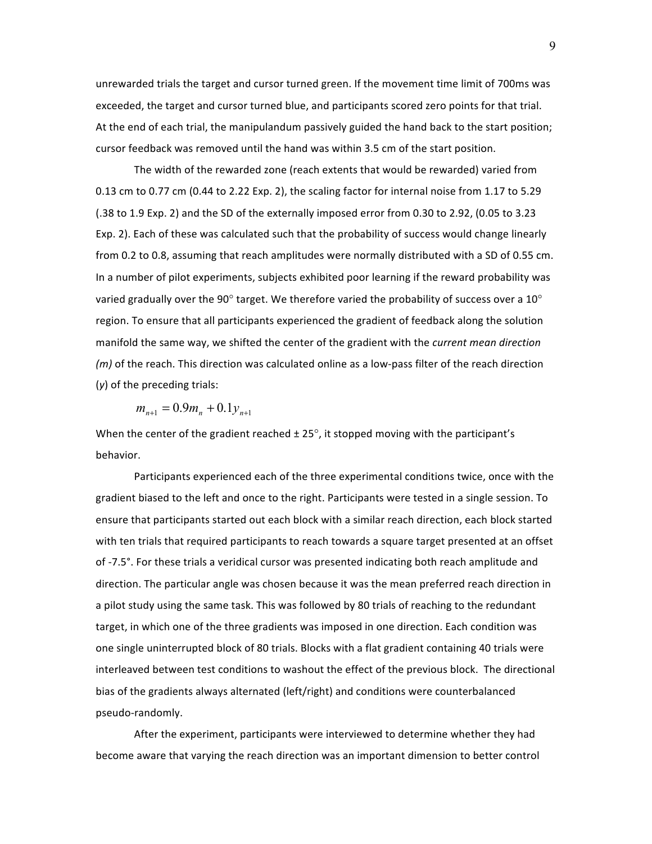unrewarded trials the target and cursor turned green. If the movement time limit of 700ms was exceeded, the target and cursor turned blue, and participants scored zero points for that trial. At the end of each trial, the manipulandum passively guided the hand back to the start position; cursor feedback was removed until the hand was within 3.5 cm of the start position.

The width of the rewarded zone (reach extents that would be rewarded) varied from 0.13 cm to 0.77 cm (0.44 to 2.22 Exp. 2), the scaling factor for internal noise from 1.17 to 5.29  $(.38$  to  $1.9$  Exp. 2) and the SD of the externally imposed error from 0.30 to 2.92, (0.05 to 3.23 Exp. 2). Each of these was calculated such that the probability of success would change linearly from 0.2 to 0.8, assuming that reach amplitudes were normally distributed with a SD of 0.55 cm. In a number of pilot experiments, subjects exhibited poor learning if the reward probability was varied gradually over the 90 $^{\circ}$  target. We therefore varied the probability of success over a 10 $^{\circ}$ region. To ensure that all participants experienced the gradient of feedback along the solution manifold the same way, we shifted the center of the gradient with the *current mean direction (m)* of the reach. This direction was calculated online as a low-pass filter of the reach direction (y) of the preceding trials:

$$
m_{n+1} = 0.9m_n + 0.1y_{n+1}
$$

When the center of the gradient reached  $\pm$  25°, it stopped moving with the participant's behavior. 

Participants experienced each of the three experimental conditions twice, once with the gradient biased to the left and once to the right. Participants were tested in a single session. To ensure that participants started out each block with a similar reach direction, each block started with ten trials that required participants to reach towards a square target presented at an offset of -7.5°. For these trials a veridical cursor was presented indicating both reach amplitude and direction. The particular angle was chosen because it was the mean preferred reach direction in a pilot study using the same task. This was followed by 80 trials of reaching to the redundant target, in which one of the three gradients was imposed in one direction. Each condition was one single uninterrupted block of 80 trials. Blocks with a flat gradient containing 40 trials were interleaved between test conditions to washout the effect of the previous block. The directional bias of the gradients always alternated (left/right) and conditions were counterbalanced pseudo-randomly.

After the experiment, participants were interviewed to determine whether they had become aware that varying the reach direction was an important dimension to better control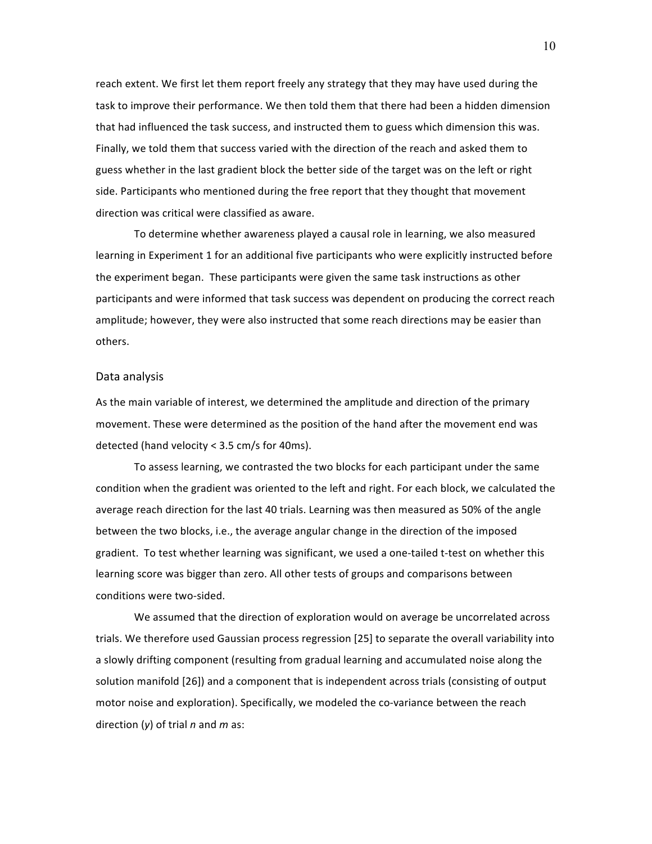reach extent. We first let them report freely any strategy that they may have used during the task to improve their performance. We then told them that there had been a hidden dimension that had influenced the task success, and instructed them to guess which dimension this was. Finally, we told them that success varied with the direction of the reach and asked them to guess whether in the last gradient block the better side of the target was on the left or right side. Participants who mentioned during the free report that they thought that movement direction was critical were classified as aware.

To determine whether awareness played a causal role in learning, we also measured learning in Experiment 1 for an additional five participants who were explicitly instructed before the experiment began. These participants were given the same task instructions as other participants and were informed that task success was dependent on producing the correct reach amplitude; however, they were also instructed that some reach directions may be easier than others. 

#### Data analysis

As the main variable of interest, we determined the amplitude and direction of the primary movement. These were determined as the position of the hand after the movement end was detected (hand velocity  $<$  3.5 cm/s for 40ms).

To assess learning, we contrasted the two blocks for each participant under the same condition when the gradient was oriented to the left and right. For each block, we calculated the average reach direction for the last 40 trials. Learning was then measured as 50% of the angle between the two blocks, i.e., the average angular change in the direction of the imposed gradient. To test whether learning was significant, we used a one-tailed t-test on whether this learning score was bigger than zero. All other tests of groups and comparisons between conditions were two-sided.

We assumed that the direction of exploration would on average be uncorrelated across trials. We therefore used Gaussian process regression [25] to separate the overall variability into a slowly drifting component (resulting from gradual learning and accumulated noise along the solution manifold [26]) and a component that is independent across trials (consisting of output motor noise and exploration). Specifically, we modeled the co-variance between the reach direction (y) of trial *n* and *m* as: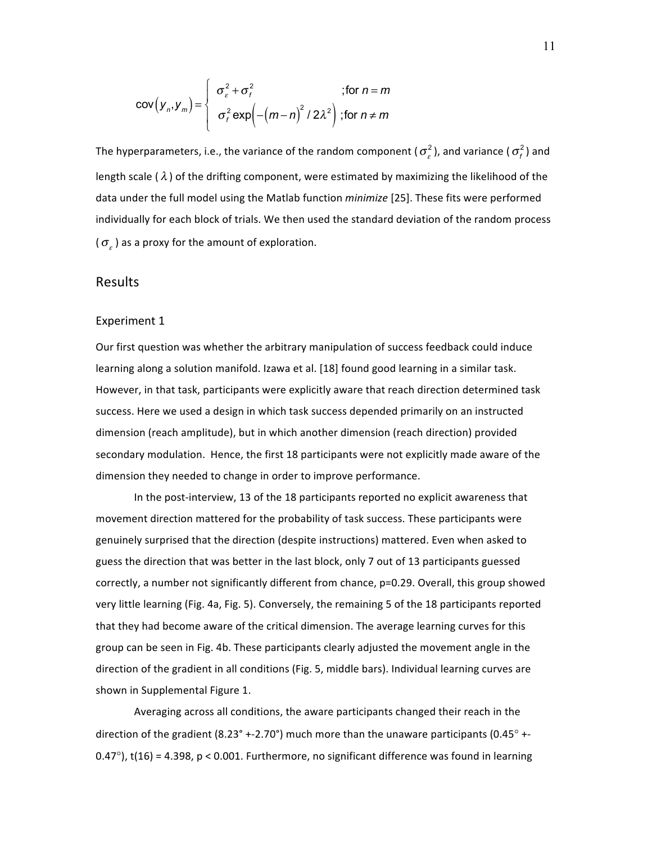$$
cov(y_n, y_m) = \begin{cases} \sigma_{\varepsilon}^2 + \sigma_{\varepsilon}^2 & \text{; for } n = m \\ \sigma_{\varepsilon}^2 exp(-(m-n)^2 / 2\lambda^2) & \text{; for } n \neq m \end{cases}
$$

The hyperparameters, i.e., the variance of the random component ( $\sigma_{\varepsilon}^2$ ), and variance ( $\sigma_{f}^2$ ) and length scale ( $\lambda$ ) of the drifting component, were estimated by maximizing the likelihood of the data under the full model using the Matlab function *minimize* [25]. These fits were performed individually for each block of trials. We then used the standard deviation of the random process  $(\sigma_{s})$  as a proxy for the amount of exploration.

### Results

#### Experiment 1

Our first question was whether the arbitrary manipulation of success feedback could induce learning along a solution manifold. Izawa et al. [18] found good learning in a similar task. However, in that task, participants were explicitly aware that reach direction determined task success. Here we used a design in which task success depended primarily on an instructed dimension (reach amplitude), but in which another dimension (reach direction) provided secondary modulation. Hence, the first 18 participants were not explicitly made aware of the dimension they needed to change in order to improve performance.

In the post-interview, 13 of the 18 participants reported no explicit awareness that movement direction mattered for the probability of task success. These participants were genuinely surprised that the direction (despite instructions) mattered. Even when asked to guess the direction that was better in the last block, only 7 out of 13 participants guessed correctly, a number not significantly different from chance, p=0.29. Overall, this group showed very little learning (Fig. 4a, Fig. 5). Conversely, the remaining 5 of the 18 participants reported that they had become aware of the critical dimension. The average learning curves for this group can be seen in Fig. 4b. These participants clearly adjusted the movement angle in the direction of the gradient in all conditions (Fig. 5, middle bars). Individual learning curves are shown in Supplemental Figure 1.

Averaging across all conditions, the aware participants changed their reach in the direction of the gradient  $(8.23^\circ +2.70^\circ)$  much more than the unaware participants  $(0.45^\circ +$  $0.47^{\circ}$ ), t(16) = 4.398, p < 0.001. Furthermore, no significant difference was found in learning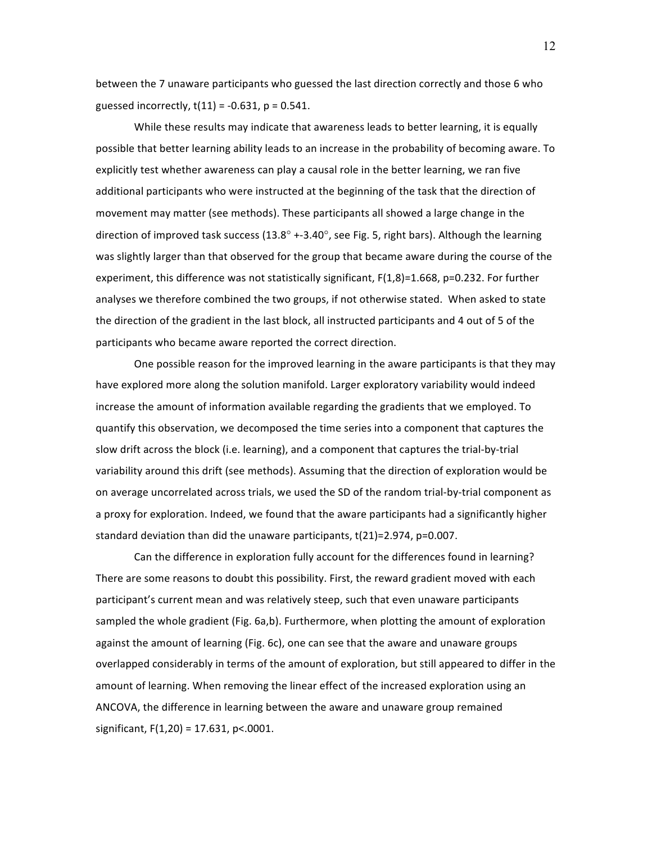between the 7 unaware participants who guessed the last direction correctly and those 6 who guessed incorrectly,  $t(11) = -0.631$ ,  $p = 0.541$ .

While these results may indicate that awareness leads to better learning, it is equally possible that better learning ability leads to an increase in the probability of becoming aware. To explicitly test whether awareness can play a causal role in the better learning, we ran five additional participants who were instructed at the beginning of the task that the direction of movement may matter (see methods). These participants all showed a large change in the direction of improved task success  $(13.8^{\circ} + 3.40^{\circ})$ , see Fig. 5, right bars). Although the learning was slightly larger than that observed for the group that became aware during the course of the experiment, this difference was not statistically significant,  $F(1,8)=1.668$ ,  $p=0.232$ . For further analyses we therefore combined the two groups, if not otherwise stated. When asked to state the direction of the gradient in the last block, all instructed participants and 4 out of 5 of the participants who became aware reported the correct direction.

One possible reason for the improved learning in the aware participants is that they may have explored more along the solution manifold. Larger exploratory variability would indeed increase the amount of information available regarding the gradients that we employed. To quantify this observation, we decomposed the time series into a component that captures the slow drift across the block (i.e. learning), and a component that captures the trial-by-trial variability around this drift (see methods). Assuming that the direction of exploration would be on average uncorrelated across trials, we used the SD of the random trial-by-trial component as a proxy for exploration. Indeed, we found that the aware participants had a significantly higher standard deviation than did the unaware participants,  $t(21)=2.974$ , p=0.007.

Can the difference in exploration fully account for the differences found in learning? There are some reasons to doubt this possibility. First, the reward gradient moved with each participant's current mean and was relatively steep, such that even unaware participants sampled the whole gradient (Fig. 6a,b). Furthermore, when plotting the amount of exploration against the amount of learning (Fig. 6c), one can see that the aware and unaware groups overlapped considerably in terms of the amount of exploration, but still appeared to differ in the amount of learning. When removing the linear effect of the increased exploration using an ANCOVA, the difference in learning between the aware and unaware group remained significant,  $F(1,20) = 17.631$ ,  $p < .0001$ .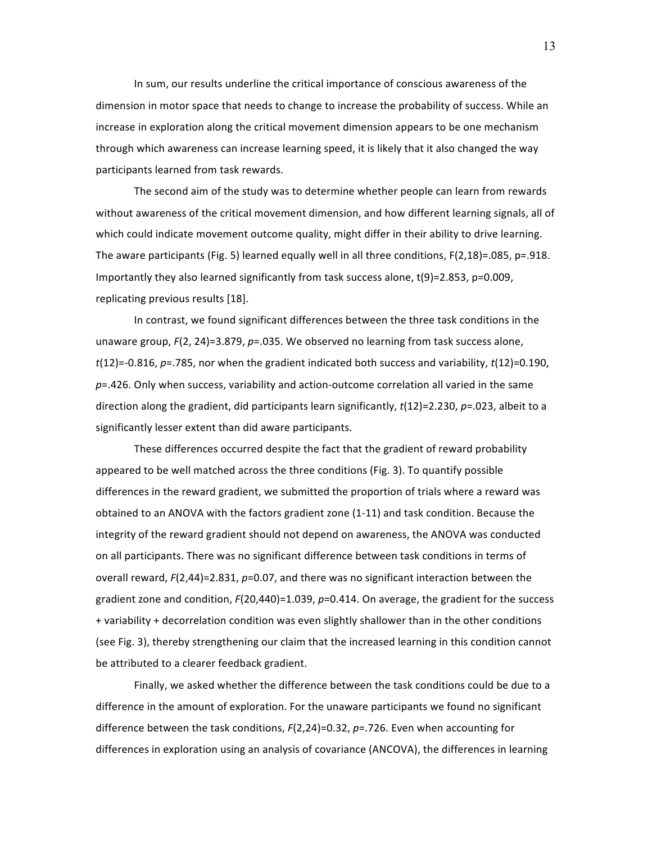In sum, our results underline the critical importance of conscious awareness of the dimension in motor space that needs to change to increase the probability of success. While an increase in exploration along the critical movement dimension appears to be one mechanism through which awareness can increase learning speed, it is likely that it also changed the way participants learned from task rewards.

The second aim of the study was to determine whether people can learn from rewards without awareness of the critical movement dimension, and how different learning signals, all of which could indicate movement outcome quality, might differ in their ability to drive learning. The aware participants (Fig. 5) learned equally well in all three conditions,  $F(2,18)=0.085$ , p=.918. Importantly they also learned significantly from task success alone, t(9)=2.853, p=0.009, replicating previous results [18].

In contrast, we found significant differences between the three task conditions in the unaware group,  $F(2, 24)=3.879$ ,  $p=.035$ . We observed no learning from task success alone,  $t(12)$ =-0.816,  $p = .785$ , nor when the gradient indicated both success and variability,  $t(12)$ =0.190,  $p = 0.426$ . Only when success, variability and action-outcome correlation all varied in the same direction along the gradient, did participants learn significantly,  $t(12)=2.230$ ,  $p=.023$ , albeit to a significantly lesser extent than did aware participants.

These differences occurred despite the fact that the gradient of reward probability appeared to be well matched across the three conditions (Fig. 3). To quantify possible differences in the reward gradient, we submitted the proportion of trials where a reward was obtained to an ANOVA with the factors gradient zone (1-11) and task condition. Because the integrity of the reward gradient should not depend on awareness, the ANOVA was conducted on all participants. There was no significant difference between task conditions in terms of overall reward,  $F(2,44)=2.831$ ,  $p=0.07$ , and there was no significant interaction between the gradient zone and condition,  $F(20,440)=1.039$ ,  $p=0.414$ . On average, the gradient for the success + variability + decorrelation condition was even slightly shallower than in the other conditions (see Fig. 3), thereby strengthening our claim that the increased learning in this condition cannot be attributed to a clearer feedback gradient.

Finally, we asked whether the difference between the task conditions could be due to a difference in the amount of exploration. For the unaware participants we found no significant difference between the task conditions,  $F(2,24)=0.32$ ,  $p=.726$ . Even when accounting for differences in exploration using an analysis of covariance (ANCOVA), the differences in learning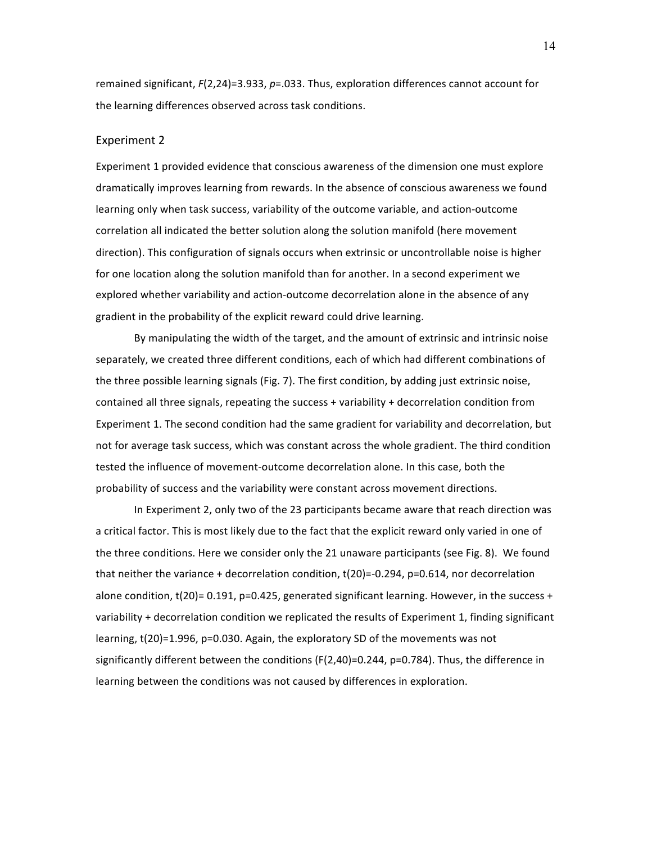remained significant,  $F(2,24)=3.933$ ,  $p=.033$ . Thus, exploration differences cannot account for the learning differences observed across task conditions.

#### Experiment 2

Experiment 1 provided evidence that conscious awareness of the dimension one must explore dramatically improves learning from rewards. In the absence of conscious awareness we found learning only when task success, variability of the outcome variable, and action-outcome correlation all indicated the better solution along the solution manifold (here movement direction). This configuration of signals occurs when extrinsic or uncontrollable noise is higher for one location along the solution manifold than for another. In a second experiment we explored whether variability and action-outcome decorrelation alone in the absence of any gradient in the probability of the explicit reward could drive learning.

By manipulating the width of the target, and the amount of extrinsic and intrinsic noise separately, we created three different conditions, each of which had different combinations of the three possible learning signals (Fig. 7). The first condition, by adding just extrinsic noise, contained all three signals, repeating the success + variability + decorrelation condition from Experiment 1. The second condition had the same gradient for variability and decorrelation, but not for average task success, which was constant across the whole gradient. The third condition tested the influence of movement-outcome decorrelation alone. In this case, both the probability of success and the variability were constant across movement directions.

In Experiment 2, only two of the 23 participants became aware that reach direction was a critical factor. This is most likely due to the fact that the explicit reward only varied in one of the three conditions. Here we consider only the 21 unaware participants (see Fig. 8). We found that neither the variance + decorrelation condition,  $t(20)$ =-0.294, p=0.614, nor decorrelation alone condition,  $t(20)=0.191$ ,  $p=0.425$ , generated significant learning. However, in the success + variability + decorrelation condition we replicated the results of Experiment 1, finding significant learning, t(20)=1.996, p=0.030. Again, the exploratory SD of the movements was not significantly different between the conditions  $(F(2,40)=0.244, p=0.784)$ . Thus, the difference in learning between the conditions was not caused by differences in exploration.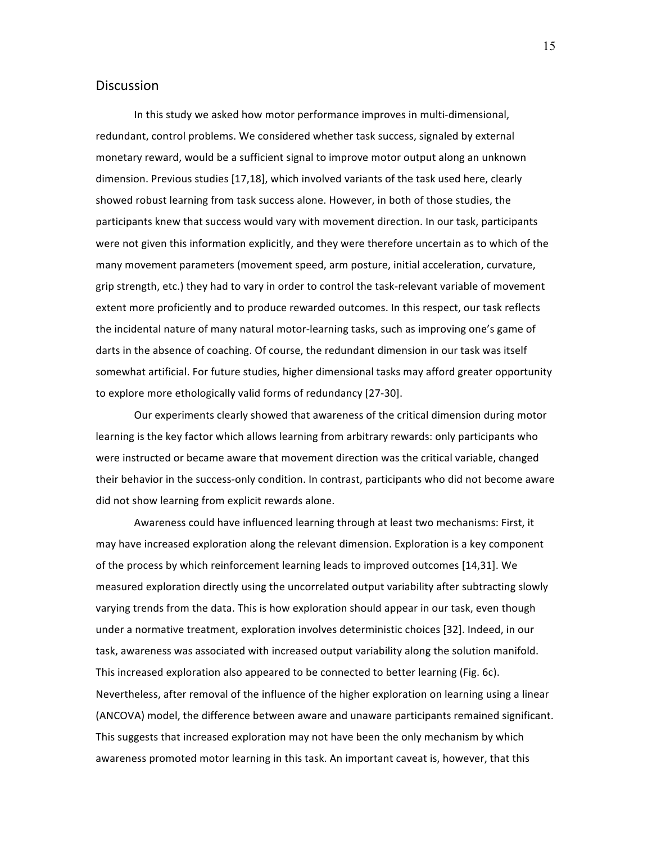# **Discussion**

In this study we asked how motor performance improves in multi-dimensional, redundant, control problems. We considered whether task success, signaled by external monetary reward, would be a sufficient signal to improve motor output along an unknown dimension. Previous studies [17,18], which involved variants of the task used here, clearly showed robust learning from task success alone. However, in both of those studies, the participants knew that success would vary with movement direction. In our task, participants were not given this information explicitly, and they were therefore uncertain as to which of the many movement parameters (movement speed, arm posture, initial acceleration, curvature, grip strength, etc.) they had to vary in order to control the task-relevant variable of movement extent more proficiently and to produce rewarded outcomes. In this respect, our task reflects the incidental nature of many natural motor-learning tasks, such as improving one's game of darts in the absence of coaching. Of course, the redundant dimension in our task was itself somewhat artificial. For future studies, higher dimensional tasks may afford greater opportunity to explore more ethologically valid forms of redundancy [27-30].

Our experiments clearly showed that awareness of the critical dimension during motor learning is the key factor which allows learning from arbitrary rewards: only participants who were instructed or became aware that movement direction was the critical variable, changed their behavior in the success-only condition. In contrast, participants who did not become aware did not show learning from explicit rewards alone.

Awareness could have influenced learning through at least two mechanisms: First, it may have increased exploration along the relevant dimension. Exploration is a key component of the process by which reinforcement learning leads to improved outcomes [14,31]. We measured exploration directly using the uncorrelated output variability after subtracting slowly varying trends from the data. This is how exploration should appear in our task, even though under a normative treatment, exploration involves deterministic choices [32]. Indeed, in our task, awareness was associated with increased output variability along the solution manifold. This increased exploration also appeared to be connected to better learning (Fig. 6c). Nevertheless, after removal of the influence of the higher exploration on learning using a linear (ANCOVA) model, the difference between aware and unaware participants remained significant. This suggests that increased exploration may not have been the only mechanism by which awareness promoted motor learning in this task. An important caveat is, however, that this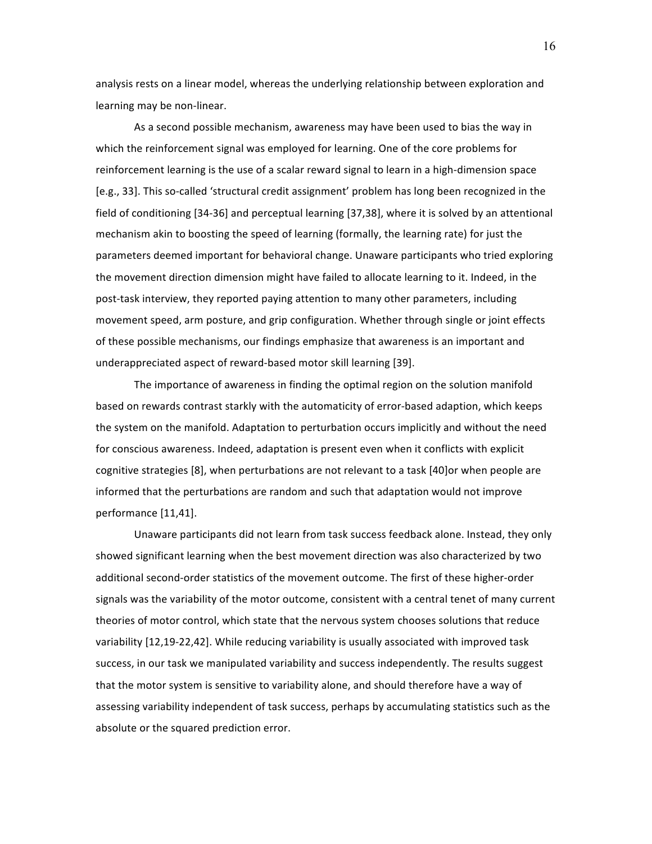analysis rests on a linear model, whereas the underlying relationship between exploration and learning may be non-linear.

As a second possible mechanism, awareness may have been used to bias the way in which the reinforcement signal was employed for learning. One of the core problems for reinforcement learning is the use of a scalar reward signal to learn in a high-dimension space [e.g., 33]. This so-called 'structural credit assignment' problem has long been recognized in the field of conditioning [34-36] and perceptual learning [37,38], where it is solved by an attentional mechanism akin to boosting the speed of learning (formally, the learning rate) for just the parameters deemed important for behavioral change. Unaware participants who tried exploring the movement direction dimension might have failed to allocate learning to it. Indeed, in the post-task interview, they reported paying attention to many other parameters, including movement speed, arm posture, and grip configuration. Whether through single or joint effects of these possible mechanisms, our findings emphasize that awareness is an important and underappreciated aspect of reward-based motor skill learning [39].

The importance of awareness in finding the optimal region on the solution manifold based on rewards contrast starkly with the automaticity of error-based adaption, which keeps the system on the manifold. Adaptation to perturbation occurs implicitly and without the need for conscious awareness. Indeed, adaptation is present even when it conflicts with explicit cognitive strategies [8], when perturbations are not relevant to a task [40]or when people are informed that the perturbations are random and such that adaptation would not improve performance [11,41]. 

Unaware participants did not learn from task success feedback alone. Instead, they only showed significant learning when the best movement direction was also characterized by two additional second-order statistics of the movement outcome. The first of these higher-order signals was the variability of the motor outcome, consistent with a central tenet of many current theories of motor control, which state that the nervous system chooses solutions that reduce variability [12,19-22,42]. While reducing variability is usually associated with improved task success, in our task we manipulated variability and success independently. The results suggest that the motor system is sensitive to variability alone, and should therefore have a way of assessing variability independent of task success, perhaps by accumulating statistics such as the absolute or the squared prediction error.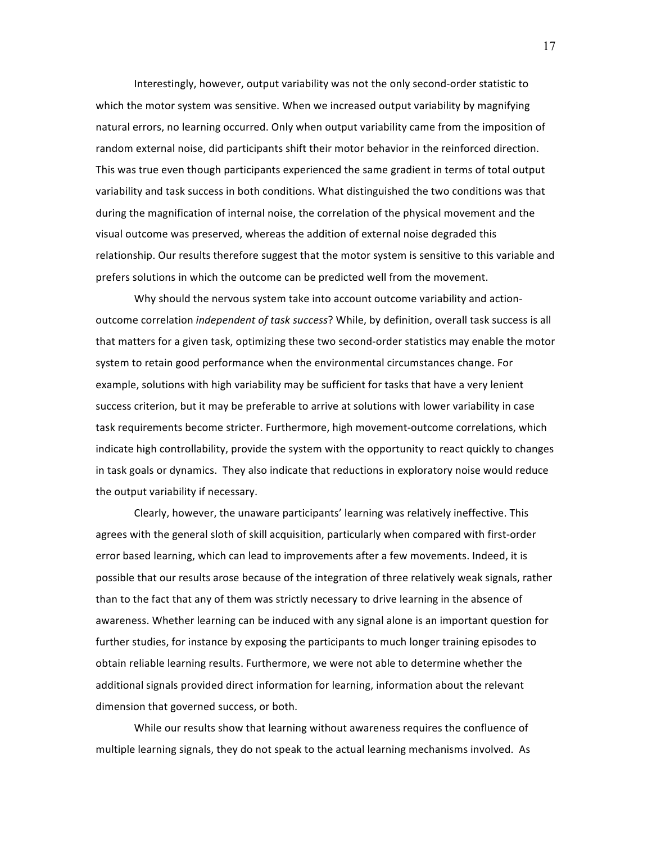Interestingly, however, output variability was not the only second-order statistic to which the motor system was sensitive. When we increased output variability by magnifying natural errors, no learning occurred. Only when output variability came from the imposition of random external noise, did participants shift their motor behavior in the reinforced direction. This was true even though participants experienced the same gradient in terms of total output variability and task success in both conditions. What distinguished the two conditions was that during the magnification of internal noise, the correlation of the physical movement and the visual outcome was preserved, whereas the addition of external noise degraded this relationship. Our results therefore suggest that the motor system is sensitive to this variable and prefers solutions in which the outcome can be predicted well from the movement.

Why should the nervous system take into account outcome variability and actionoutcome correlation *independent of task success*? While, by definition, overall task success is all that matters for a given task, optimizing these two second-order statistics may enable the motor system to retain good performance when the environmental circumstances change. For example, solutions with high variability may be sufficient for tasks that have a very lenient success criterion, but it may be preferable to arrive at solutions with lower variability in case task requirements become stricter. Furthermore, high movement-outcome correlations, which indicate high controllability, provide the system with the opportunity to react quickly to changes in task goals or dynamics. They also indicate that reductions in exploratory noise would reduce the output variability if necessary.

Clearly, however, the unaware participants' learning was relatively ineffective. This agrees with the general sloth of skill acquisition, particularly when compared with first-order error based learning, which can lead to improvements after a few movements. Indeed, it is possible that our results arose because of the integration of three relatively weak signals, rather than to the fact that any of them was strictly necessary to drive learning in the absence of awareness. Whether learning can be induced with any signal alone is an important question for further studies, for instance by exposing the participants to much longer training episodes to obtain reliable learning results. Furthermore, we were not able to determine whether the additional signals provided direct information for learning, information about the relevant dimension that governed success, or both.

While our results show that learning without awareness requires the confluence of multiple learning signals, they do not speak to the actual learning mechanisms involved. As 17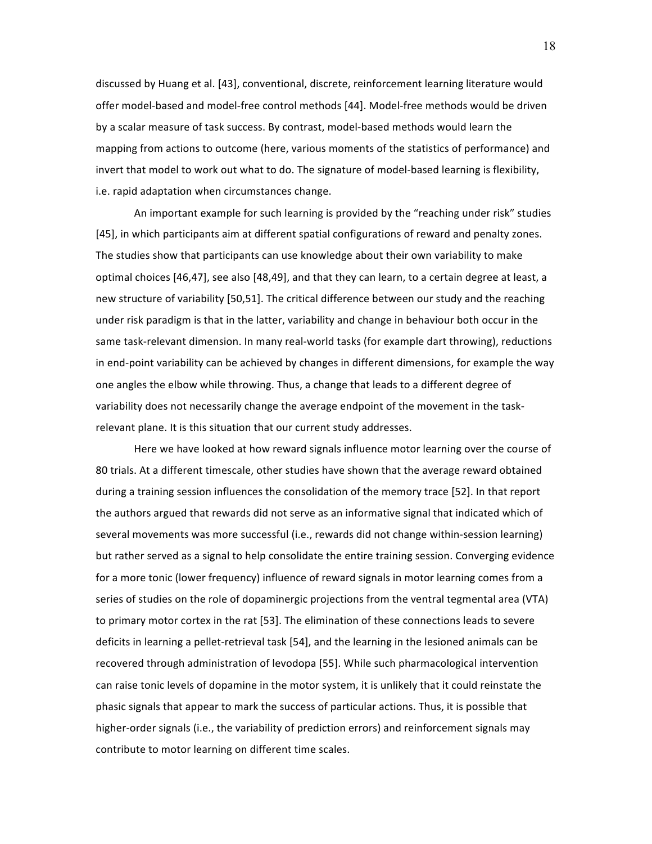discussed by Huang et al. [43], conventional, discrete, reinforcement learning literature would offer model-based and model-free control methods [44]. Model-free methods would be driven by a scalar measure of task success. By contrast, model-based methods would learn the mapping from actions to outcome (here, various moments of the statistics of performance) and invert that model to work out what to do. The signature of model-based learning is flexibility, i.e. rapid adaptation when circumstances change.

An important example for such learning is provided by the "reaching under risk" studies [45], in which participants aim at different spatial configurations of reward and penalty zones. The studies show that participants can use knowledge about their own variability to make optimal choices [46,47], see also [48,49], and that they can learn, to a certain degree at least, a new structure of variability [50,51]. The critical difference between our study and the reaching under risk paradigm is that in the latter, variability and change in behaviour both occur in the same task-relevant dimension. In many real-world tasks (for example dart throwing), reductions in end-point variability can be achieved by changes in different dimensions, for example the way one angles the elbow while throwing. Thus, a change that leads to a different degree of variability does not necessarily change the average endpoint of the movement in the taskrelevant plane. It is this situation that our current study addresses.

Here we have looked at how reward signals influence motor learning over the course of 80 trials. At a different timescale, other studies have shown that the average reward obtained during a training session influences the consolidation of the memory trace [52]. In that report the authors argued that rewards did not serve as an informative signal that indicated which of several movements was more successful (i.e., rewards did not change within-session learning) but rather served as a signal to help consolidate the entire training session. Converging evidence for a more tonic (lower frequency) influence of reward signals in motor learning comes from a series of studies on the role of dopaminergic projections from the ventral tegmental area (VTA) to primary motor cortex in the rat [53]. The elimination of these connections leads to severe deficits in learning a pellet-retrieval task [54], and the learning in the lesioned animals can be recovered through administration of levodopa [55]. While such pharmacological intervention can raise tonic levels of dopamine in the motor system, it is unlikely that it could reinstate the phasic signals that appear to mark the success of particular actions. Thus, it is possible that higher-order signals (i.e., the variability of prediction errors) and reinforcement signals may contribute to motor learning on different time scales.

18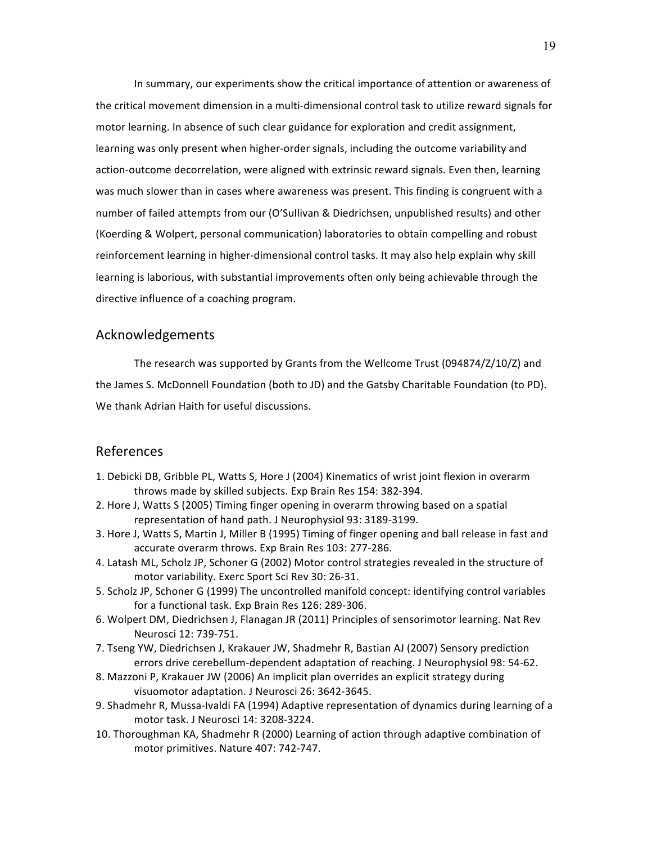In summary, our experiments show the critical importance of attention or awareness of the critical movement dimension in a multi-dimensional control task to utilize reward signals for motor learning. In absence of such clear guidance for exploration and credit assignment, learning was only present when higher-order signals, including the outcome variability and action-outcome decorrelation, were aligned with extrinsic reward signals. Even then, learning was much slower than in cases where awareness was present. This finding is congruent with a number of failed attempts from our (O'Sullivan & Diedrichsen, unpublished results) and other (Koerding & Wolpert, personal communication) laboratories to obtain compelling and robust reinforcement learning in higher-dimensional control tasks. It may also help explain why skill learning is laborious, with substantial improvements often only being achievable through the directive influence of a coaching program.

### Acknowledgements

The research was supported by Grants from the Wellcome Trust (094874/Z/10/Z) and the James S. McDonnell Foundation (both to JD) and the Gatsby Charitable Foundation (to PD). We thank Adrian Haith for useful discussions.

# References

- 1. Debicki DB, Gribble PL, Watts S, Hore J (2004) Kinematics of wrist joint flexion in overarm throws made by skilled subjects. Exp Brain Res 154: 382-394.
- 2. Hore J, Watts S (2005) Timing finger opening in overarm throwing based on a spatial representation of hand path. J Neurophysiol 93: 3189-3199.
- 3. Hore J, Watts S, Martin J, Miller B (1995) Timing of finger opening and ball release in fast and accurate overarm throws. Exp Brain Res 103: 277-286.
- 4. Latash ML, Scholz JP, Schoner G (2002) Motor control strategies revealed in the structure of motor variability. Exerc Sport Sci Rev 30: 26-31.
- 5. Scholz JP, Schoner G (1999) The uncontrolled manifold concept: identifying control variables for a functional task. Exp Brain Res 126: 289-306.
- 6. Wolpert DM, Diedrichsen J, Flanagan JR (2011) Principles of sensorimotor learning. Nat Rev Neurosci 12: 739-751.
- 7. Tseng YW, Diedrichsen J, Krakauer JW, Shadmehr R, Bastian AJ (2007) Sensory prediction errors drive cerebellum-dependent adaptation of reaching. J Neurophysiol 98: 54-62.
- 8. Mazzoni P, Krakauer JW (2006) An implicit plan overrides an explicit strategy during visuomotor adaptation. J Neurosci 26: 3642-3645.
- 9. Shadmehr R, Mussa-Ivaldi FA (1994) Adaptive representation of dynamics during learning of a motor task. J Neurosci 14: 3208-3224.
- 10. Thoroughman KA, Shadmehr R (2000) Learning of action through adaptive combination of motor primitives. Nature 407: 742-747.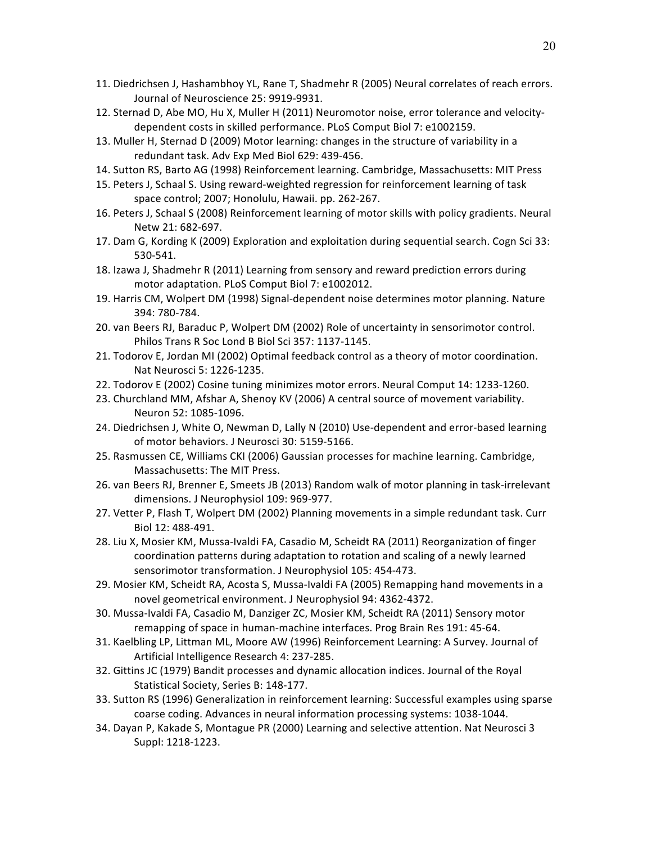- 11. Diedrichsen J, Hashambhoy YL, Rane T, Shadmehr R (2005) Neural correlates of reach errors. Journal of Neuroscience 25: 9919-9931.
- 12. Sternad D, Abe MO, Hu X, Muller H (2011) Neuromotor noise, error tolerance and velocitydependent costs in skilled performance. PLoS Comput Biol 7: e1002159.
- 13. Muller H, Sternad D (2009) Motor learning: changes in the structure of variability in a redundant task. Adv Exp Med Biol 629: 439-456.
- 14. Sutton RS, Barto AG (1998) Reinforcement learning. Cambridge, Massachusetts: MIT Press
- 15. Peters J, Schaal S. Using reward-weighted regression for reinforcement learning of task space control; 2007; Honolulu, Hawaii. pp. 262-267.
- 16. Peters J, Schaal S (2008) Reinforcement learning of motor skills with policy gradients. Neural Netw 21: 682-697.
- 17. Dam G, Kording K (2009) Exploration and exploitation during sequential search. Cogn Sci 33: 530-541.
- 18. Izawa J, Shadmehr R (2011) Learning from sensory and reward prediction errors during motor adaptation. PLoS Comput Biol 7: e1002012.
- 19. Harris CM, Wolpert DM (1998) Signal-dependent noise determines motor planning. Nature 394: 780-784.
- 20. van Beers RJ, Baraduc P, Wolpert DM (2002) Role of uncertainty in sensorimotor control. Philos Trans R Soc Lond B Biol Sci 357: 1137-1145.
- 21. Todorov E, Jordan MI (2002) Optimal feedback control as a theory of motor coordination. Nat Neurosci 5: 1226-1235.
- 22. Todorov E (2002) Cosine tuning minimizes motor errors. Neural Comput 14: 1233-1260.
- 23. Churchland MM, Afshar A, Shenoy KV (2006) A central source of movement variability. Neuron 52: 1085-1096.
- 24. Diedrichsen J, White O, Newman D, Lally N (2010) Use-dependent and error-based learning of motor behaviors. J Neurosci 30: 5159-5166.
- 25. Rasmussen CE, Williams CKI (2006) Gaussian processes for machine learning. Cambridge, Massachusetts: The MIT Press.
- 26. van Beers RJ, Brenner E, Smeets JB (2013) Random walk of motor planning in task-irrelevant dimensions. J Neurophysiol 109: 969-977.
- 27. Vetter P, Flash T, Wolpert DM (2002) Planning movements in a simple redundant task. Curr Biol 12: 488-491.
- 28. Liu X, Mosier KM, Mussa-Ivaldi FA, Casadio M, Scheidt RA (2011) Reorganization of finger coordination patterns during adaptation to rotation and scaling of a newly learned sensorimotor transformation. J Neurophysiol 105: 454-473.
- 29. Mosier KM, Scheidt RA, Acosta S, Mussa-Ivaldi FA (2005) Remapping hand movements in a novel geometrical environment. J Neurophysiol 94: 4362-4372.
- 30. Mussa-Ivaldi FA, Casadio M, Danziger ZC, Mosier KM, Scheidt RA (2011) Sensory motor remapping of space in human-machine interfaces. Prog Brain Res 191: 45-64.
- 31. Kaelbling LP, Littman ML, Moore AW (1996) Reinforcement Learning: A Survey. Journal of Artificial Intelligence Research 4: 237-285.
- 32. Gittins JC (1979) Bandit processes and dynamic allocation indices. Journal of the Royal Statistical Society, Series B: 148-177.
- 33. Sutton RS (1996) Generalization in reinforcement learning: Successful examples using sparse coarse coding. Advances in neural information processing systems: 1038-1044.
- 34. Dayan P, Kakade S, Montague PR (2000) Learning and selective attention. Nat Neurosci 3 Suppl: 1218-1223.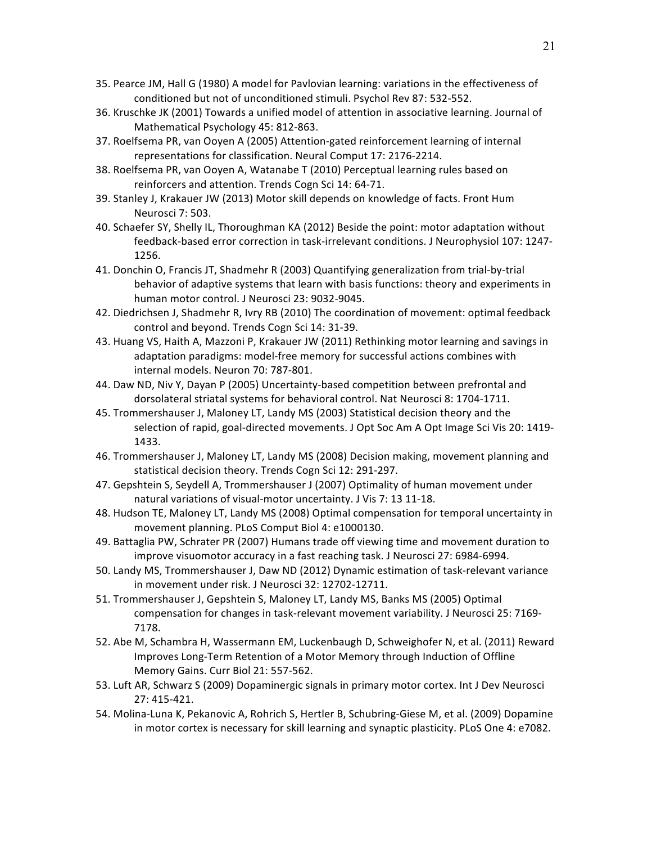- 35. Pearce JM, Hall G (1980) A model for Pavlovian learning: variations in the effectiveness of conditioned but not of unconditioned stimuli. Psychol Rev 87: 532-552.
- 36. Kruschke JK (2001) Towards a unified model of attention in associative learning. Journal of Mathematical Psychology 45: 812-863.
- 37. Roelfsema PR, van Ooyen A (2005) Attention-gated reinforcement learning of internal representations for classification. Neural Comput 17: 2176-2214.
- 38. Roelfsema PR, van Ooyen A, Watanabe T (2010) Perceptual learning rules based on reinforcers and attention. Trends Cogn Sci 14: 64-71.
- 39. Stanley J, Krakauer JW (2013) Motor skill depends on knowledge of facts. Front Hum Neurosci 7: 503.
- 40. Schaefer SY, Shelly IL, Thoroughman KA (2012) Beside the point: motor adaptation without feedback-based error correction in task-irrelevant conditions. J Neurophysiol 107: 1247-1256.
- 41. Donchin O, Francis JT, Shadmehr R (2003) Quantifying generalization from trial-by-trial behavior of adaptive systems that learn with basis functions: theory and experiments in human motor control. J Neurosci 23: 9032-9045.
- 42. Diedrichsen J, Shadmehr R, Ivry RB (2010) The coordination of movement: optimal feedback control and beyond. Trends Cogn Sci 14: 31-39.
- 43. Huang VS, Haith A, Mazzoni P, Krakauer JW (2011) Rethinking motor learning and savings in adaptation paradigms: model-free memory for successful actions combines with internal models. Neuron 70: 787-801.
- 44. Daw ND, Niv Y, Dayan P (2005) Uncertainty-based competition between prefrontal and dorsolateral striatal systems for behavioral control. Nat Neurosci 8: 1704-1711.
- 45. Trommershauser J, Maloney LT, Landy MS (2003) Statistical decision theory and the selection of rapid, goal-directed movements. J Opt Soc Am A Opt Image Sci Vis 20: 1419-1433.
- 46. Trommershauser J, Maloney LT, Landy MS (2008) Decision making, movement planning and statistical decision theory. Trends Cogn Sci 12: 291-297.
- 47. Gepshtein S, Seydell A, Trommershauser J (2007) Optimality of human movement under natural variations of visual-motor uncertainty. J Vis 7: 13 11-18.
- 48. Hudson TE, Maloney LT, Landy MS (2008) Optimal compensation for temporal uncertainty in movement planning. PLoS Comput Biol 4: e1000130.
- 49. Battaglia PW, Schrater PR (2007) Humans trade off viewing time and movement duration to improve visuomotor accuracy in a fast reaching task. J Neurosci 27: 6984-6994.
- 50. Landy MS, Trommershauser J, Daw ND (2012) Dynamic estimation of task-relevant variance in movement under risk. J Neurosci 32: 12702-12711.
- 51. Trommershauser J, Gepshtein S, Maloney LT, Landy MS, Banks MS (2005) Optimal compensation for changes in task-relevant movement variability. J Neurosci 25: 7169-7178.
- 52. Abe M, Schambra H, Wassermann EM, Luckenbaugh D, Schweighofer N, et al. (2011) Reward Improves Long-Term Retention of a Motor Memory through Induction of Offline Memory Gains. Curr Biol 21: 557-562.
- 53. Luft AR, Schwarz S (2009) Dopaminergic signals in primary motor cortex. Int J Dev Neurosci 27: 415-421.
- 54. Molina-Luna K, Pekanovic A, Rohrich S, Hertler B, Schubring-Giese M, et al. (2009) Dopamine in motor cortex is necessary for skill learning and synaptic plasticity. PLoS One 4: e7082.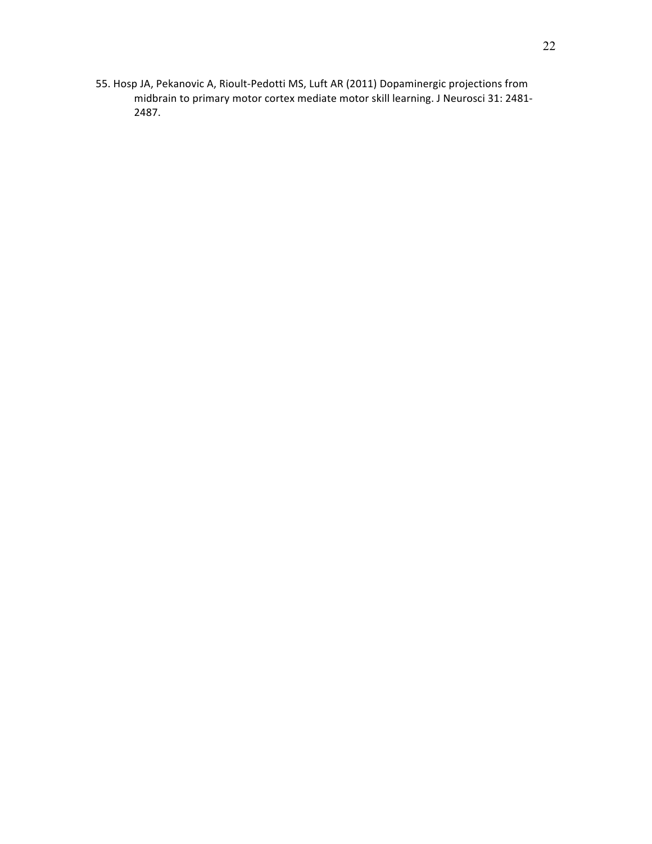55. Hosp JA, Pekanovic A, Rioult-Pedotti MS, Luft AR (2011) Dopaminergic projections from midbrain to primary motor cortex mediate motor skill learning. J Neurosci 31: 2481-2487.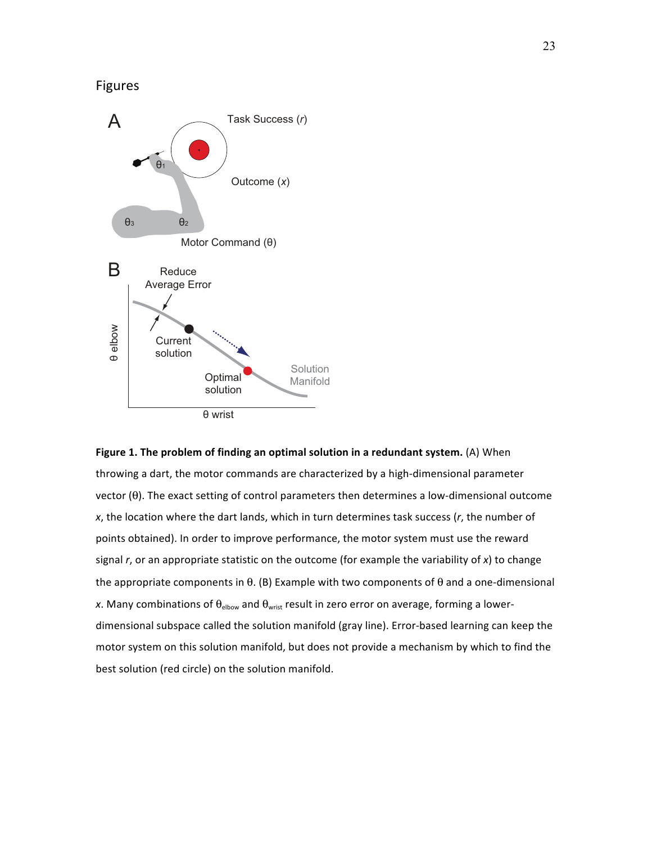Figures



**Figure 1. The problem of finding an optimal solution in a redundant system.** (A) When throwing a dart, the motor commands are characterized by a high-dimensional parameter vector  $(\theta)$ . The exact setting of control parameters then determines a low-dimensional outcome x, the location where the dart lands, which in turn determines task success (r, the number of points obtained). In order to improve performance, the motor system must use the reward signal  $r$ , or an appropriate statistic on the outcome (for example the variability of  $x$ ) to change the appropriate components in  $\theta$ . (B) Example with two components of  $\theta$  and a one-dimensional x. Many combinations of  $\theta_{\text{elbow}}$  and  $\theta_{\text{wrist}}$  result in zero error on average, forming a lowerdimensional subspace called the solution manifold (gray line). Error-based learning can keep the motor system on this solution manifold, but does not provide a mechanism by which to find the best solution (red circle) on the solution manifold.

23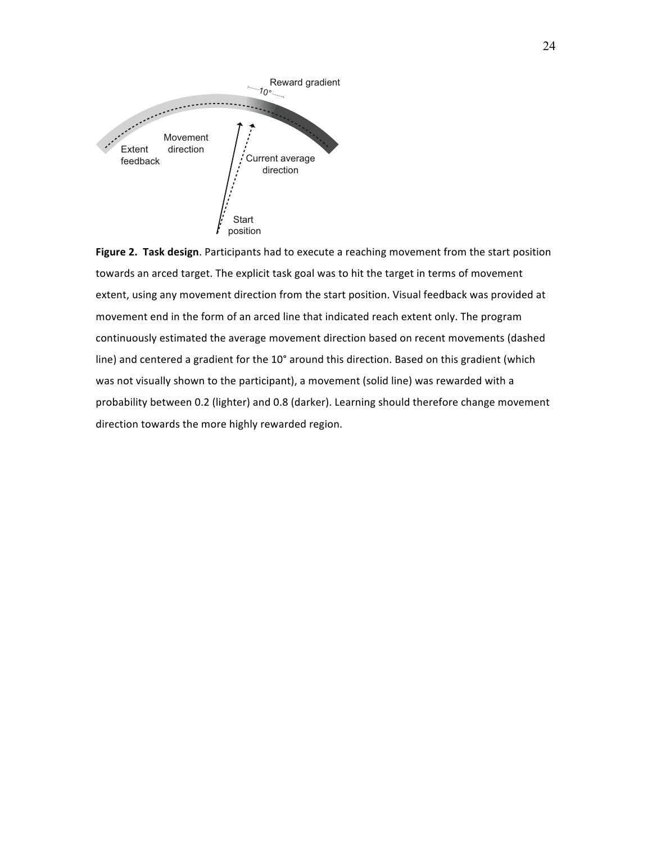

Figure 2. Task design. Participants had to execute a reaching movement from the start position towards an arced target. The explicit task goal was to hit the target in terms of movement extent, using any movement direction from the start position. Visual feedback was provided at movement end in the form of an arced line that indicated reach extent only. The program continuously estimated the average movement direction based on recent movements (dashed line) and centered a gradient for the 10° around this direction. Based on this gradient (which was not visually shown to the participant), a movement (solid line) was rewarded with a probability between 0.2 (lighter) and 0.8 (darker). Learning should therefore change movement direction towards the more highly rewarded region.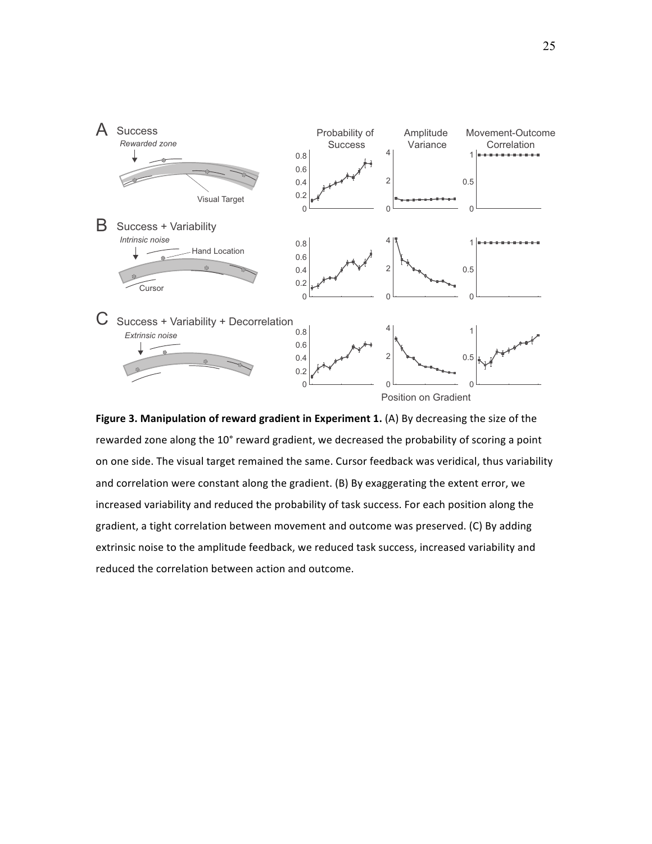

Figure 3. Manipulation of reward gradient in Experiment 1. (A) By decreasing the size of the rewarded zone along the 10° reward gradient, we decreased the probability of scoring a point on one side. The visual target remained the same. Cursor feedback was veridical, thus variability and correlation were constant along the gradient. (B) By exaggerating the extent error, we increased variability and reduced the probability of task success. For each position along the gradient, a tight correlation between movement and outcome was preserved. (C) By adding extrinsic noise to the amplitude feedback, we reduced task success, increased variability and reduced the correlation between action and outcome.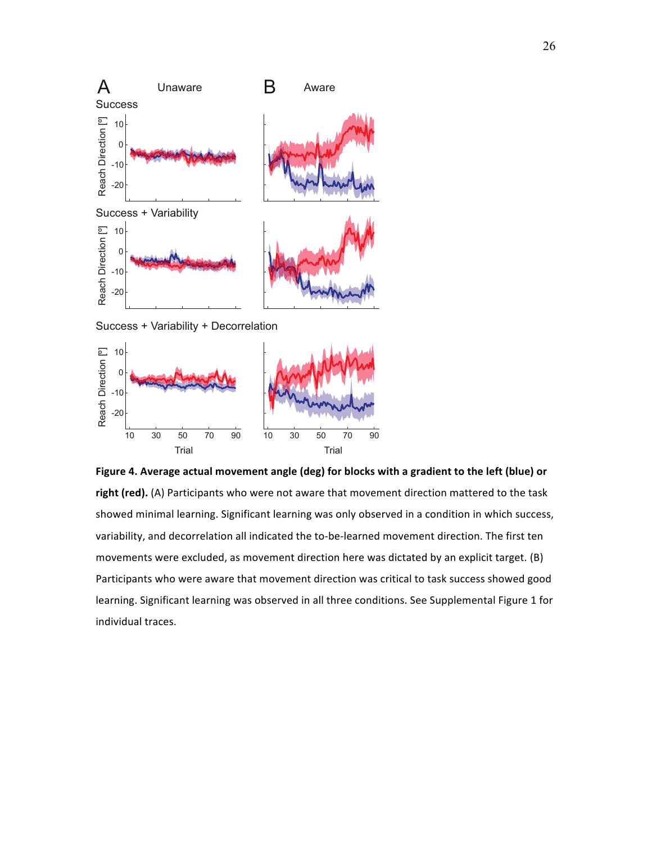

Figure 4. Average actual movement angle (deg) for blocks with a gradient to the left (blue) or right (red). (A) Participants who were not aware that movement direction mattered to the task showed minimal learning. Significant learning was only observed in a condition in which success, variability, and decorrelation all indicated the to-be-learned movement direction. The first ten movements were excluded, as movement direction here was dictated by an explicit target. (B) Participants who were aware that movement direction was critical to task success showed good learning. Significant learning was observed in all three conditions. See Supplemental Figure 1 for individual traces.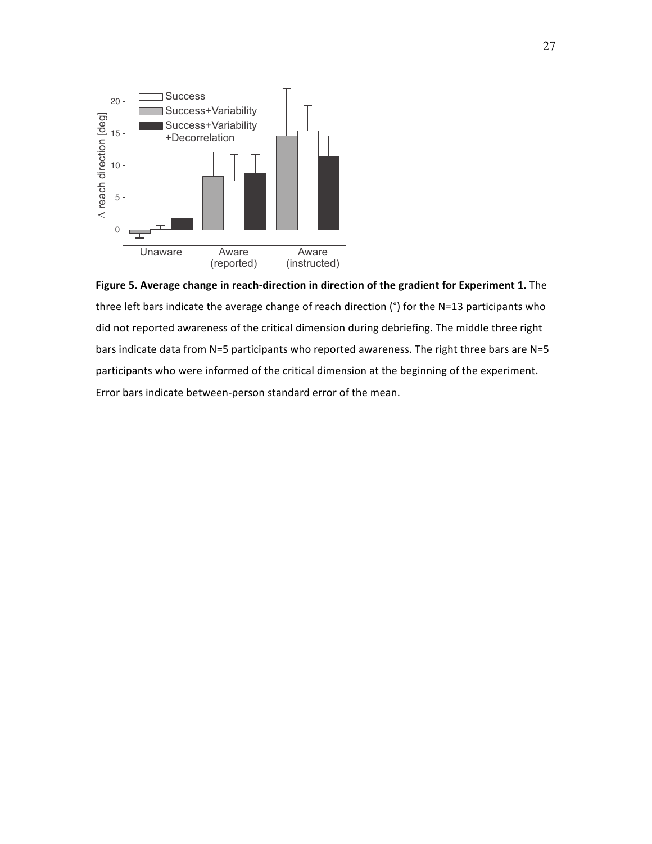

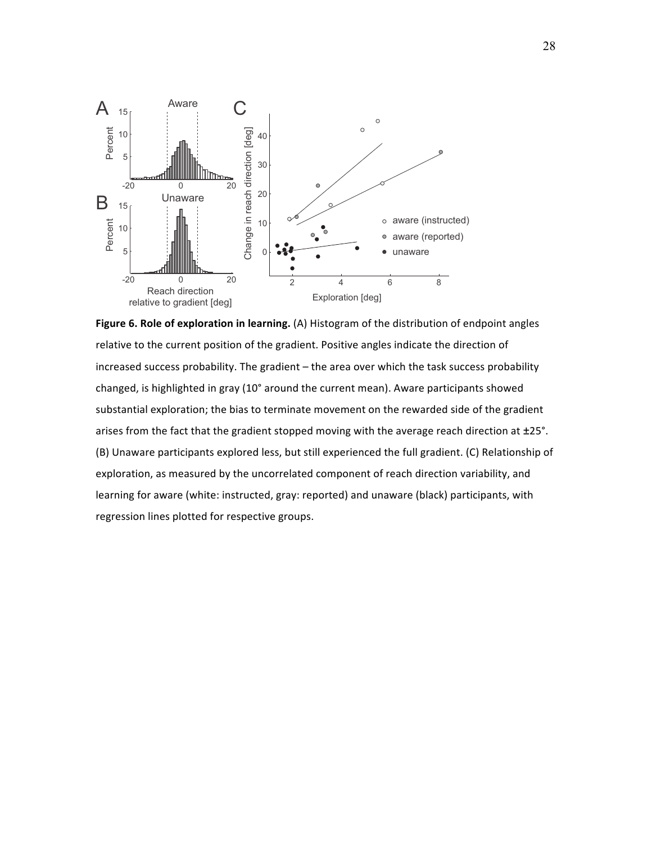

Figure 6. Role of exploration in learning. (A) Histogram of the distribution of endpoint angles relative to the current position of the gradient. Positive angles indicate the direction of increased success probability. The gradient – the area over which the task success probability changed, is highlighted in gray (10° around the current mean). Aware participants showed substantial exploration; the bias to terminate movement on the rewarded side of the gradient arises from the fact that the gradient stopped moving with the average reach direction at  $\pm 25^\circ$ . (B) Unaware participants explored less, but still experienced the full gradient. (C) Relationship of exploration, as measured by the uncorrelated component of reach direction variability, and learning for aware (white: instructed, gray: reported) and unaware (black) participants, with regression lines plotted for respective groups.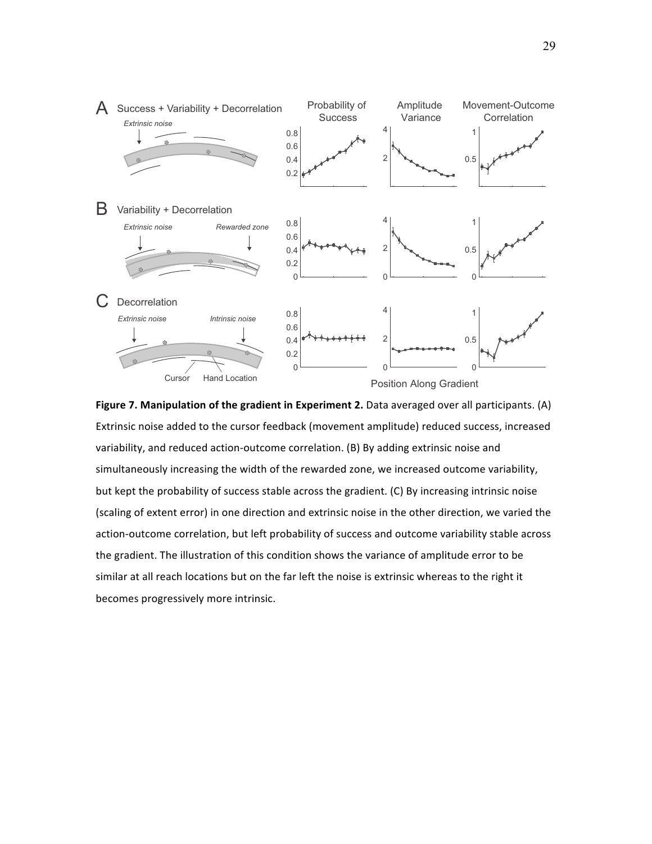

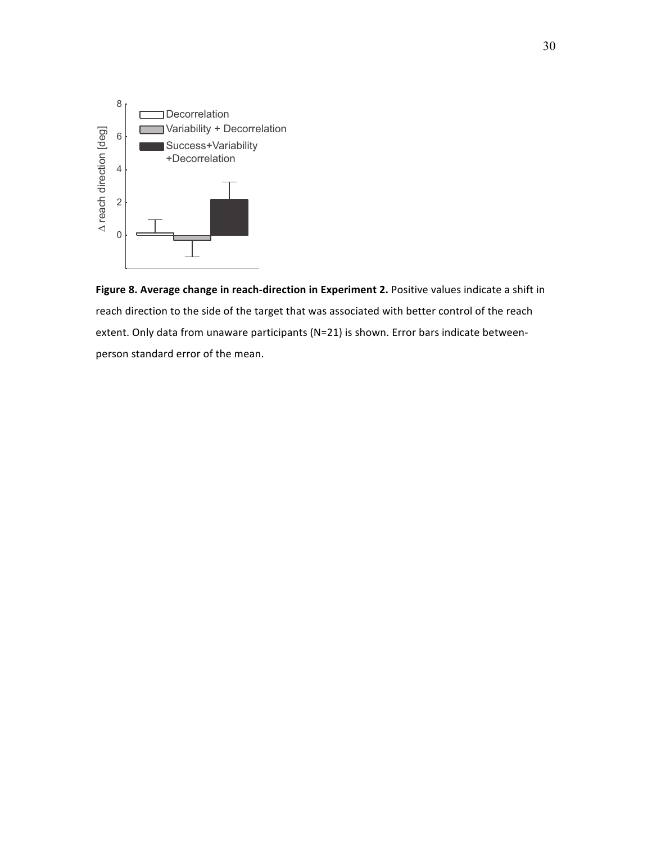

Figure 8. Average change in reach-direction in Experiment 2. Positive values indicate a shift in reach direction to the side of the target that was associated with better control of the reach extent. Only data from unaware participants (N=21) is shown. Error bars indicate betweenperson standard error of the mean.